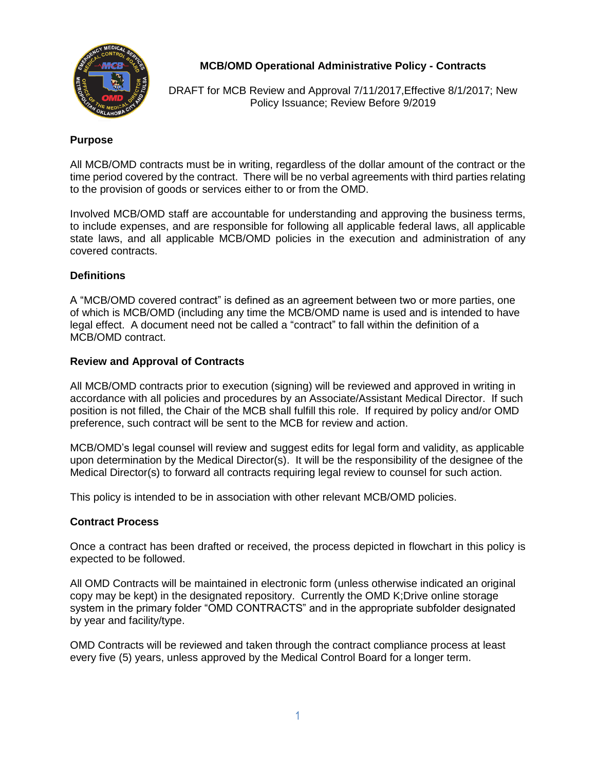

**MCB/OMD Operational Administrative Policy - Contracts**

DRAFT for MCB Review and Approval 7/11/2017,Effective 8/1/2017; New Policy Issuance; Review Before 9/2019

### **Purpose**

All MCB/OMD contracts must be in writing, regardless of the dollar amount of the contract or the time period covered by the contract. There will be no verbal agreements with third parties relating to the provision of goods or services either to or from the OMD.

Involved MCB/OMD staff are accountable for understanding and approving the business terms, to include expenses, and are responsible for following all applicable federal laws, all applicable state laws, and all applicable MCB/OMD policies in the execution and administration of any covered contracts.

### **Definitions**

A "MCB/OMD covered contract" is defined as an agreement between two or more parties, one of which is MCB/OMD (including any time the MCB/OMD name is used and is intended to have legal effect. A document need not be called a "contract" to fall within the definition of a MCB/OMD contract.

### **Review and Approval of Contracts**

All MCB/OMD contracts prior to execution (signing) will be reviewed and approved in writing in accordance with all policies and procedures by an Associate/Assistant Medical Director. If such position is not filled, the Chair of the MCB shall fulfill this role. If required by policy and/or OMD preference, such contract will be sent to the MCB for review and action.

MCB/OMD's legal counsel will review and suggest edits for legal form and validity, as applicable upon determination by the Medical Director(s). It will be the responsibility of the designee of the Medical Director(s) to forward all contracts requiring legal review to counsel for such action.

This policy is intended to be in association with other relevant MCB/OMD policies.

### **Contract Process**

Once a contract has been drafted or received, the process depicted in flowchart in this policy is expected to be followed.

All OMD Contracts will be maintained in electronic form (unless otherwise indicated an original copy may be kept) in the designated repository. Currently the OMD K;Drive online storage system in the primary folder "OMD CONTRACTS" and in the appropriate subfolder designated by year and facility/type.

OMD Contracts will be reviewed and taken through the contract compliance process at least every five (5) years, unless approved by the Medical Control Board for a longer term.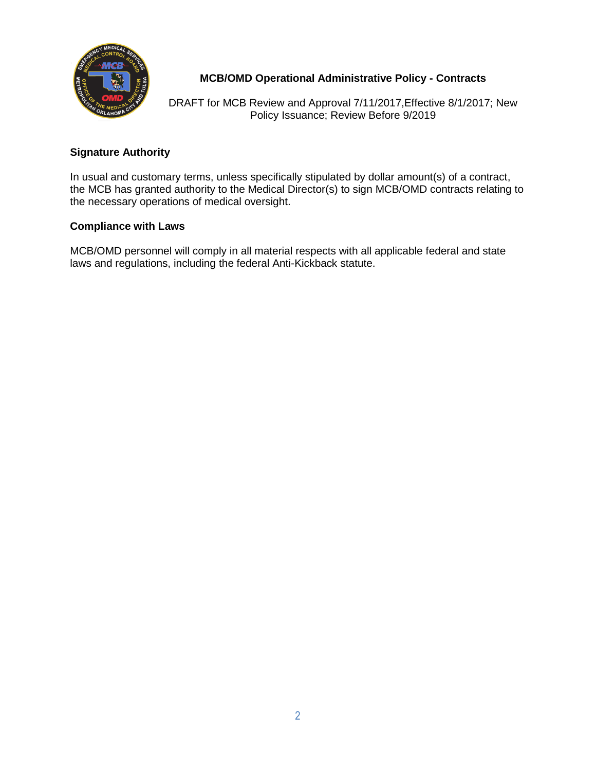

# **MCB/OMD Operational Administrative Policy - Contracts**

DRAFT for MCB Review and Approval 7/11/2017,Effective 8/1/2017; New Policy Issuance; Review Before 9/2019

## **Signature Authority**

In usual and customary terms, unless specifically stipulated by dollar amount(s) of a contract, the MCB has granted authority to the Medical Director(s) to sign MCB/OMD contracts relating to the necessary operations of medical oversight.

### **Compliance with Laws**

MCB/OMD personnel will comply in all material respects with all applicable federal and state laws and regulations, including the federal Anti-Kickback statute.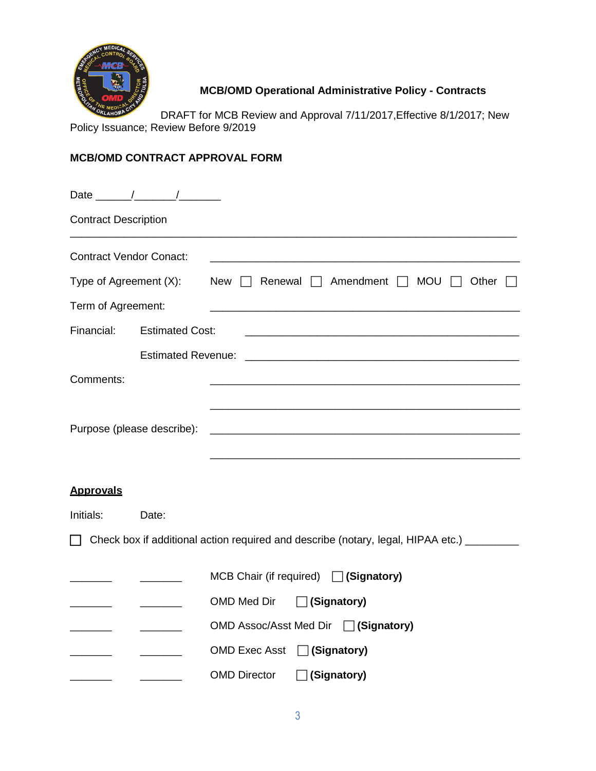

**MCB/OMD Operational Administrative Policy - Contracts**

DRAFT for MCB Review and Approval 7/11/2017,Effective 8/1/2017; New Policy Issuance; Review Before 9/2019

# **MCB/OMD CONTRACT APPROVAL FORM**

| <b>Contract Description</b>    |                        |                                                                                             |
|--------------------------------|------------------------|---------------------------------------------------------------------------------------------|
| <b>Contract Vendor Conact:</b> |                        |                                                                                             |
|                                |                        | Type of Agreement $(X)$ : New $\Box$ Renewal $\Box$ Amendment $\Box$ MOU<br>$\Box$ Other    |
| Term of Agreement:             |                        |                                                                                             |
| Financial:                     | <b>Estimated Cost:</b> |                                                                                             |
|                                |                        |                                                                                             |
| Comments:                      |                        |                                                                                             |
|                                |                        |                                                                                             |
| Purpose (please describe):     |                        |                                                                                             |
|                                |                        |                                                                                             |
| <b>Approvals</b>               |                        |                                                                                             |
| Initials:                      | Date:                  |                                                                                             |
|                                |                        | □ Check box if additional action required and describe (notary, legal, HIPAA etc.) ________ |
|                                |                        | MCB Chair (if required) $\Box$ (Signatory)                                                  |
|                                |                        | □ (Signatory)<br>OMD Med Dir                                                                |
|                                |                        | OMD Assoc/Asst Med Dir   (Signatory)                                                        |
|                                |                        | <b>OMD Exec Asst</b><br>$\Box$ (Signatory)                                                  |
|                                |                        | <b>OMD Director</b><br>(Signatory)                                                          |